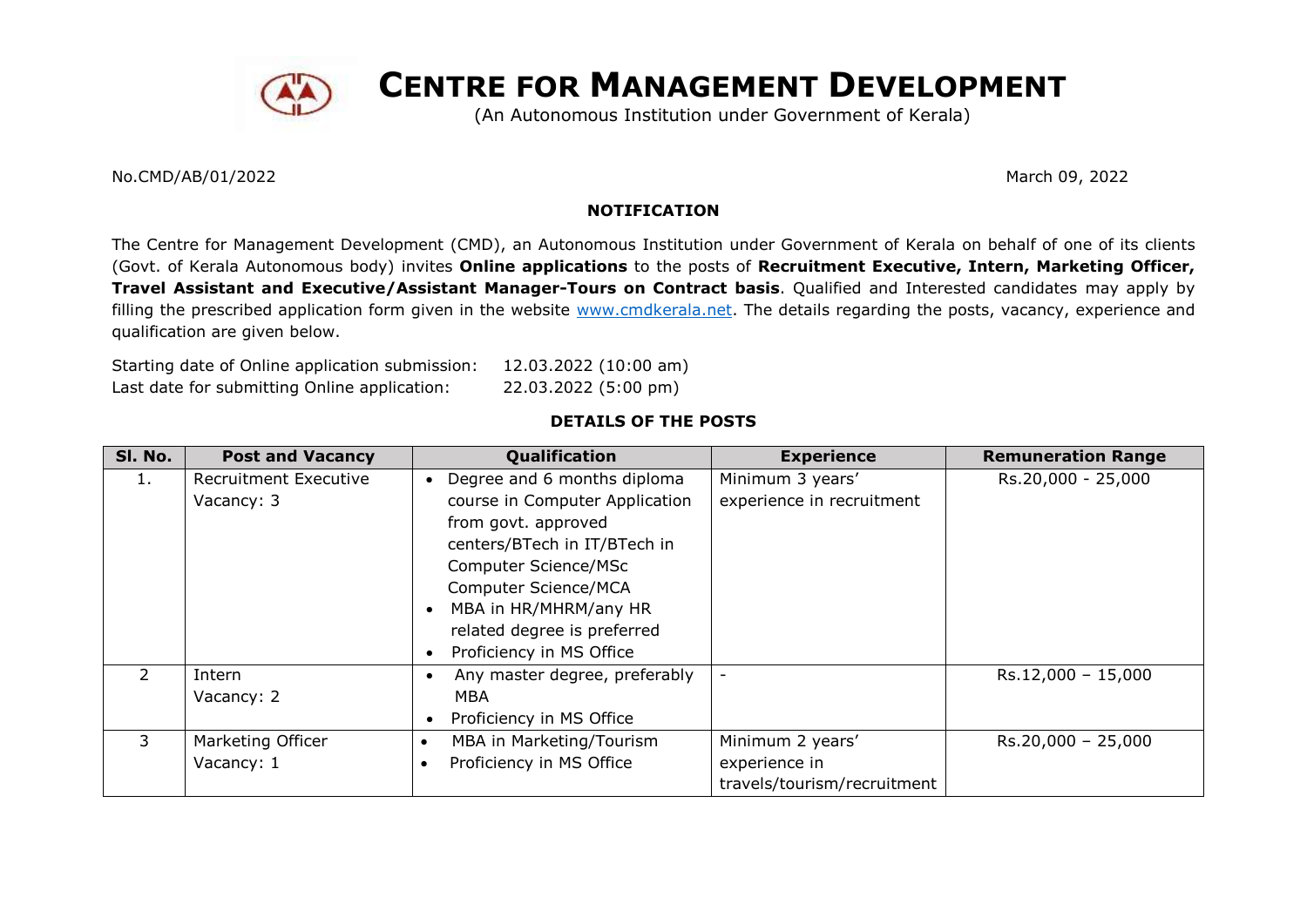

**CENTRE FOR MANAGEMENT DEVELOPMENT**

(An Autonomous Institution under Government of Kerala)

No.CMD/AB/01/2022 March 09, 2022

## **NOTIFICATION**

The Centre for Management Development (CMD), an Autonomous Institution under Government of Kerala on behalf of one of its clients (Govt. of Kerala Autonomous body) invites **Online applications** to the posts of **Recruitment Executive, Intern, Marketing Officer, Travel Assistant and Executive/Assistant Manager-Tours on Contract basis**. Qualified and Interested candidates may apply by filling the prescribed application form given in the website [www.cmdkerala.net.](http://www.cmdkerala.net/) The details regarding the posts, vacancy, experience and qualification are given below.

Starting date of Online application submission: 12.03.2022 (10:00 am) Last date for submitting Online application: 22.03.2022 (5:00 pm)

# **DETAILS OF THE POSTS**

| SI. No.       | <b>Post and Vacancy</b>                    | Qualification                                                                                                                                                                                                                                                                      | <b>Experience</b>                                                | <b>Remuneration Range</b> |
|---------------|--------------------------------------------|------------------------------------------------------------------------------------------------------------------------------------------------------------------------------------------------------------------------------------------------------------------------------------|------------------------------------------------------------------|---------------------------|
| 1.            | <b>Recruitment Executive</b><br>Vacancy: 3 | Degree and 6 months diploma<br>$\bullet$<br>course in Computer Application<br>from govt. approved<br>centers/BTech in IT/BTech in<br>Computer Science/MSc<br>Computer Science/MCA<br>MBA in HR/MHRM/any HR<br>related degree is preferred<br>Proficiency in MS Office<br>$\bullet$ | Minimum 3 years'<br>experience in recruitment                    | Rs.20,000 - 25,000        |
| $\mathcal{P}$ | Intern<br>Vacancy: 2                       | Any master degree, preferably<br>MBA<br>Proficiency in MS Office                                                                                                                                                                                                                   | -                                                                | $Rs.12,000 - 15,000$      |
| 3             | Marketing Officer<br>Vacancy: 1            | MBA in Marketing/Tourism<br>Proficiency in MS Office                                                                                                                                                                                                                               | Minimum 2 years'<br>experience in<br>travels/tourism/recruitment | $Rs.20,000 - 25,000$      |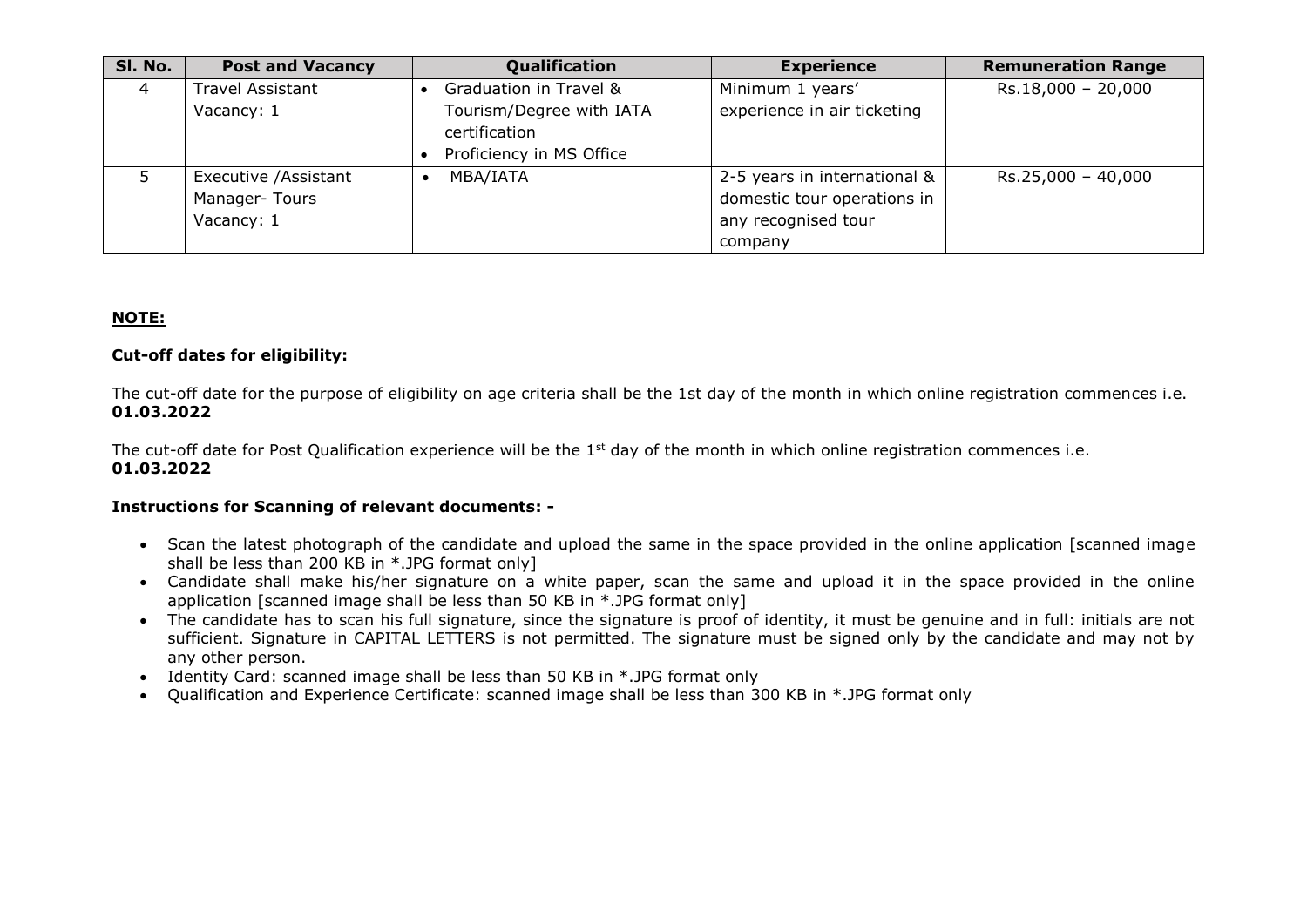| SI. No. | <b>Post and Vacancy</b>                              | Qualification                                                                                   | <b>Experience</b>                                                                             | <b>Remuneration Range</b> |
|---------|------------------------------------------------------|-------------------------------------------------------------------------------------------------|-----------------------------------------------------------------------------------------------|---------------------------|
| 4       | <b>Travel Assistant</b><br>Vacancy: 1                | Graduation in Travel &<br>Tourism/Degree with IATA<br>certification<br>Proficiency in MS Office | Minimum 1 years'<br>experience in air ticketing                                               | $Rs.18,000 - 20,000$      |
|         | Executive / Assistant<br>Manager-Tours<br>Vacancy: 1 | MBA/IATA                                                                                        | 2-5 years in international &<br>domestic tour operations in<br>any recognised tour<br>company | $Rs.25,000 - 40,000$      |

## **NOTE:**

### **Cut-off dates for eligibility:**

The cut-off date for the purpose of eligibility on age criteria shall be the 1st day of the month in which online registration commences i.e. **01.03.2022**

The cut-off date for Post Qualification experience will be the 1<sup>st</sup> day of the month in which online registration commences i.e. **01.03.2022**

#### **Instructions for Scanning of relevant documents: -**

- Scan the latest photograph of the candidate and upload the same in the space provided in the online application [scanned image shall be less than 200 KB in \*.JPG format only]
- Candidate shall make his/her signature on a white paper, scan the same and upload it in the space provided in the online application [scanned image shall be less than 50 KB in \*.JPG format only]
- The candidate has to scan his full signature, since the signature is proof of identity, it must be genuine and in full: initials are not sufficient. Signature in CAPITAL LETTERS is not permitted. The signature must be signed only by the candidate and may not by any other person.
- Identity Card: scanned image shall be less than 50 KB in \*.JPG format only
- Qualification and Experience Certificate: scanned image shall be less than 300 KB in \*.JPG format only